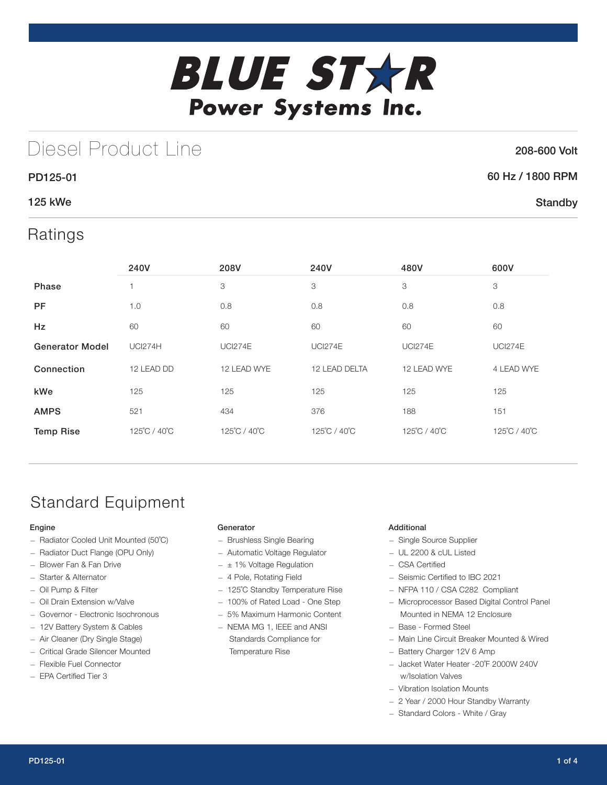

## Diesel Product Line

### 208-600 Volt

**Standby** 

# 60 Hz / 1800 RPM

### 125 kWe

PD125-01

### Ratings

|                        | 240V           | 208V           | 240V           | 480V           | 600V           |
|------------------------|----------------|----------------|----------------|----------------|----------------|
| Phase                  |                | 3              | 3              | 3              | 3              |
| <b>PF</b>              | 1.0            | 0.8            | 0.8            | 0.8            | 0.8            |
| Hz                     | 60             | 60             | 60             | 60             | 60             |
| <b>Generator Model</b> | <b>UCI274H</b> | <b>UCI274E</b> | <b>UCI274E</b> | <b>UCI274E</b> | <b>UCI274E</b> |
| Connection             | 12 LEAD DD     | 12 LEAD WYE    | 12 LEAD DELTA  | 12 LEAD WYE    | 4 LEAD WYE     |
| kWe                    | 125            | 125            | 125            | 125            | 125            |
| <b>AMPS</b>            | 521            | 434            | 376            | 188            | 151            |
| <b>Temp Rise</b>       | 125°C / 40°C   | 125°C / 40°C   | 125°C / 40°C   | 125°C / 40°C   | 125°C / 40°C   |

## Standard Equipment

### Engine

- Radiator Cooled Unit Mounted (50˚C)
- Radiator Duct Flange (OPU Only)
- Blower Fan & Fan Drive
- Starter & Alternator
- Oil Pump & Filter
- Oil Drain Extension w/Valve
- Governor Electronic Isochronous
- 12V Battery System & Cables
- Air Cleaner (Dry Single Stage)
- Critical Grade Silencer Mounted
- Flexible Fuel Connector
- EPA Certified Tier 3

### Generator

- Brushless Single Bearing
- Automatic Voltage Regulator
- $\pm$  1% Voltage Regulation
- 4 Pole, Rotating Field
- 125˚C Standby Temperature Rise
- 100% of Rated Load One Step
- 5% Maximum Harmonic Content
- NEMA MG 1, IEEE and ANSI Standards Compliance for Temperature Rise

### Additional

- Single Source Supplier
- UL 2200 & cUL Listed
- CSA Certified
- Seismic Certified to IBC 2021
- NFPA 110 / CSA C282 Compliant
- Microprocessor Based Digital Control Panel Mounted in NEMA 12 Enclosure
- Base Formed Steel
- Main Line Circuit Breaker Mounted & Wired
- Battery Charger 12V 6 Amp
- Jacket Water Heater -20˚F 2000W 240V w/Isolation Valves
- Vibration Isolation Mounts
- 2 Year / 2000 Hour Standby Warranty
- Standard Colors White / Gray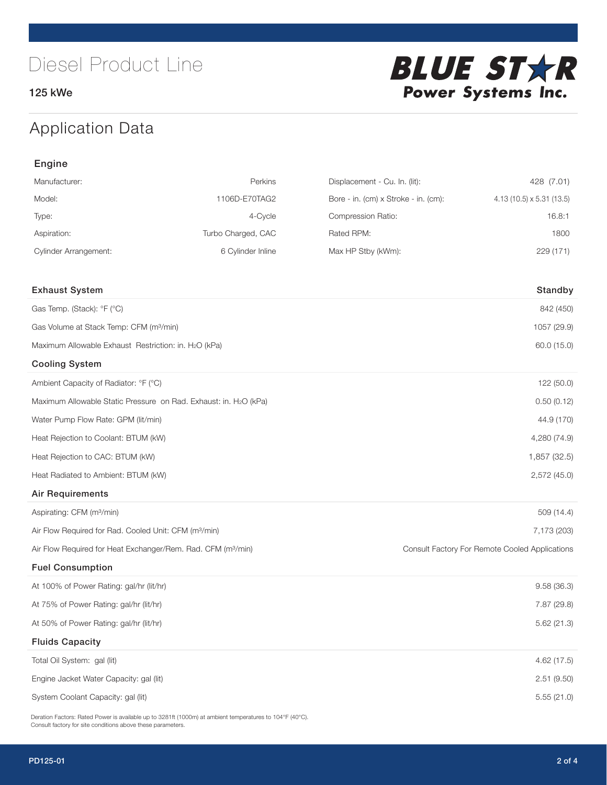125 kWe



## Application Data

| Engine                                                                   |                    |                                      |                                                |  |  |
|--------------------------------------------------------------------------|--------------------|--------------------------------------|------------------------------------------------|--|--|
| Manufacturer:                                                            | Perkins            | Displacement - Cu. In. (lit):        | 428 (7.01)                                     |  |  |
| Model:                                                                   | 1106D-E70TAG2      | Bore - in. (cm) x Stroke - in. (cm): | 4.13 (10.5) x 5.31 (13.5)                      |  |  |
| Type:                                                                    | 4-Cycle            | Compression Ratio:                   | 16.8:1                                         |  |  |
| Aspiration:                                                              | Turbo Charged, CAC | Rated RPM:                           | 1800                                           |  |  |
| <b>Cylinder Arrangement:</b>                                             | 6 Cylinder Inline  | Max HP Stby (kWm):                   | 229 (171)                                      |  |  |
| <b>Exhaust System</b>                                                    |                    |                                      | Standby                                        |  |  |
| Gas Temp. (Stack): °F (°C)                                               |                    |                                      | 842 (450)                                      |  |  |
| Gas Volume at Stack Temp: CFM (m <sup>3</sup> /min)                      |                    |                                      | 1057 (29.9)                                    |  |  |
| Maximum Allowable Exhaust Restriction: in. H2O (kPa)                     |                    |                                      | 60.0 (15.0)                                    |  |  |
| <b>Cooling System</b>                                                    |                    |                                      |                                                |  |  |
| Ambient Capacity of Radiator: °F (°C)                                    |                    |                                      | 122 (50.0)                                     |  |  |
| Maximum Allowable Static Pressure on Rad. Exhaust: in. H2O (kPa)         |                    |                                      | 0.50(0.12)                                     |  |  |
| Water Pump Flow Rate: GPM (lit/min)                                      |                    |                                      | 44.9 (170)                                     |  |  |
| Heat Rejection to Coolant: BTUM (kW)                                     |                    |                                      | 4,280 (74.9)                                   |  |  |
| Heat Rejection to CAC: BTUM (kW)                                         |                    |                                      | 1,857 (32.5)                                   |  |  |
| Heat Radiated to Ambient: BTUM (kW)                                      |                    |                                      | 2,572 (45.0)                                   |  |  |
| <b>Air Requirements</b>                                                  |                    |                                      |                                                |  |  |
| Aspirating: CFM (m <sup>3</sup> /min)                                    |                    |                                      | 509 (14.4)                                     |  |  |
| Air Flow Required for Rad. Cooled Unit: CFM (m <sup>3</sup> /min)        |                    |                                      | 7,173 (203)                                    |  |  |
| Air Flow Required for Heat Exchanger/Rem. Rad. CFM (m <sup>3</sup> /min) |                    |                                      | Consult Factory For Remote Cooled Applications |  |  |
| <b>Fuel Consumption</b>                                                  |                    |                                      |                                                |  |  |
| At 100% of Power Rating: gal/hr (lit/hr)                                 |                    |                                      | 9.58(36.3)                                     |  |  |
| At 75% of Power Rating: gal/hr (lit/hr)                                  |                    |                                      | 7.87 (29.8)                                    |  |  |
| At 50% of Power Rating: gal/hr (lit/hr)                                  |                    |                                      | 5.62(21.3)                                     |  |  |
| <b>Fluids Capacity</b>                                                   |                    |                                      |                                                |  |  |
| Total Oil System: gal (lit)                                              |                    |                                      | 4.62 (17.5)                                    |  |  |
| Engine Jacket Water Capacity: gal (lit)                                  |                    |                                      | 2.51 (9.50)                                    |  |  |
| System Coolant Capacity: gal (lit)                                       |                    |                                      | 5.55(21.0)                                     |  |  |

Deration Factors: Rated Power is available up to 3281ft (1000m) at ambient temperatures to 104°F (40°C). Consult factory for site conditions above these parameters.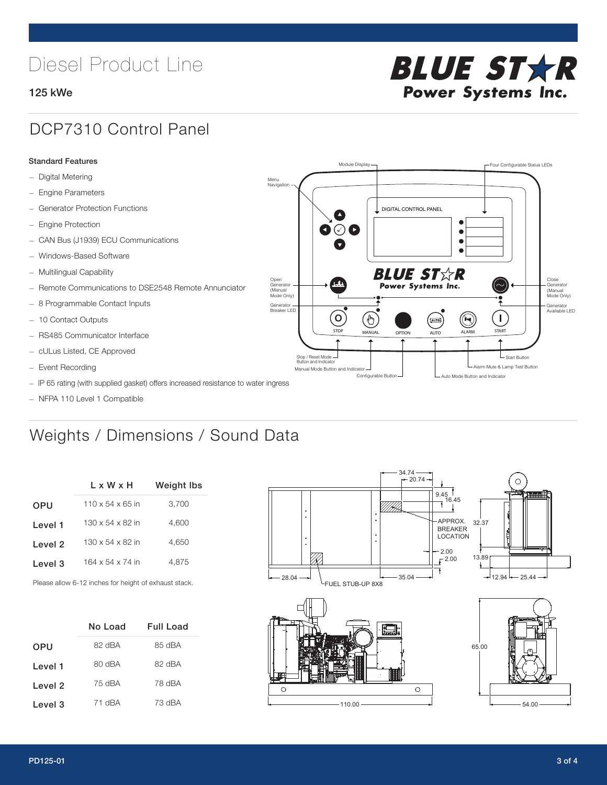## Diesel Product Line

### 125 kWe



### DCP7310 Control Panel

#### Standard Features

- Digital Metering
- Engine Parameters
- Generator Protection Functions
- Engine Protection
- CAN Bus (J1939) ECU Communications
- Windows-Based Software
- Multilingual Capability
- Remote Communications to DSE2548 Remote Annunciator
- 8 Programmable Contact Inputs
- 10 Contact Outputs
- RS485 Communicator Interface
- cULus Listed, CE Approved
- Event Recording
- IP 65 rating (with supplied gasket) offers increased resistance to water ingress
- NFPA 110 Level 1 Compatible

## Weights / Dimensions / Sound Data

|            | L x W x H                    | <b>Weight Ibs</b> |
|------------|------------------------------|-------------------|
| <b>OPU</b> | $110 \times 54 \times 65$ in | 3,700             |
| Level 1    | $130 \times 54 \times 82$ in | 4.600             |
| Level 2    | $130 \times 54 \times 82$ in | 4.650             |
| Level 3    | 164 x 54 x 74 in             | 4.875             |
|            |                              |                   |

Please allow 6-12 inches for height of exhaust stack.

|         | No Load | Full Load |
|---------|---------|-----------|
| OPU     | 82 dBA  | 85 dBA    |
| Level 1 | 80 dBA  | 82 dBA    |
| Level 2 | 75 dBA  | 78 dBA    |
| Level 3 | 71 dBA  | 73 dBA    |



STOP MANUAL OPTION AUTO ALARM START

.<br>[AUTO]

**BLUE STAR** Power Systems Inc.

Manual Mode Button and Indicator Sultane Mute & Lamp Test Button Mute & Lamp Test Button Mute & Lamp Test Button Configurable Button -  $\Box$  Auto Mode Button and Indicator

DIGITAL CONTROL PANEL

Module Display  $\Box$ 

 $\bullet$  $\bullet$  $\bullet$ 

 $\circledcirc$ 

Menu Navigation

Open Generator (Manual Mode Only)

Generator Breaker LED

Stop / Reset Mode Button and Indicator

 $\bullet$  $\bullet$   $\circ$   $\bullet$ 

 $\sigma$ 

՟Պ

Close Generator (Manual Mode Only)

Generator Available LED

L Start Button

 $\blacksquare$